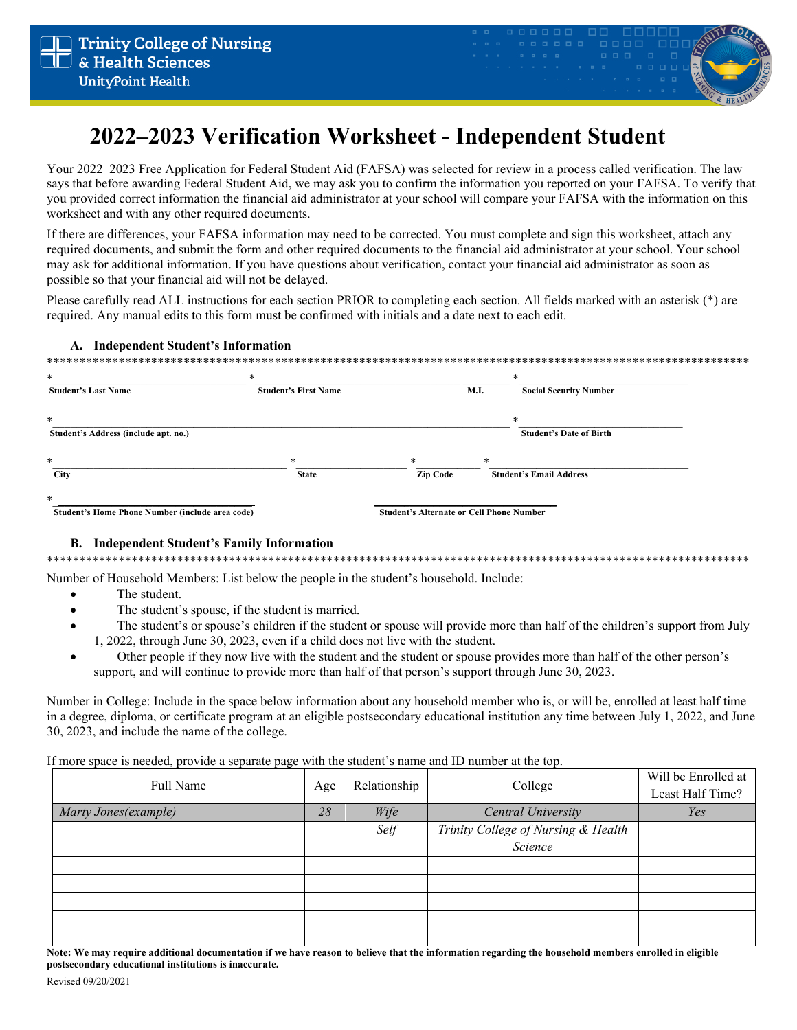

# 2022–2023 Verification Worksheet - Independent Student

Your 2022–2023 Free Application for Federal Student Aid (FAFSA) was selected for review in a process called verification. The law says that before awarding Federal Student Aid, we may ask you to confirm the information you reported on your FAFSA. To verify that you provided correct information the financial aid administrator at your school will compare your FAFSA with the information on this worksheet and with any other required documents.

If there are differences, your FAFSA information may need to be corrected. You must complete and sign this worksheet, attach any required documents, and submit the form and other required documents to the financial aid administrator at your school. Your school may ask for additional information. If you have questions about verification, contact your financial aid administrator as soon as possible so that your financial aid will not be delayed.

Please carefully read ALL instructions for each section PRIOR to completing each section. All fields marked with an asterisk (\*) are required. Any manual edits to this form must be confirmed with initials and a date next to each edit.

## A. Independent Student's Information

| $\ast$<br><b>Student's Last Name</b>                      | $*$<br><b>Student's First Name</b> |                                                 | M.I. | *<br><b>Social Security Number</b>  |
|-----------------------------------------------------------|------------------------------------|-------------------------------------------------|------|-------------------------------------|
| $\ast$<br>Student's Address (include apt. no.)            |                                    |                                                 |      | *<br><b>Student's Date of Birth</b> |
| $\ast$                                                    | $\ast$                             | $*$                                             | $*$  |                                     |
| <b>City</b>                                               | <b>State</b>                       | <b>Zip Code</b>                                 |      | <b>Student's Email Address</b>      |
| $\ast$<br>Student's Home Phone Number (include area code) |                                    | <b>Student's Alternate or Cell Phone Number</b> |      |                                     |

## **B.** Independent Student's Family Information

Number of Household Members: List below the people in the student's household. Include:

- The student.
- The student's spouse, if the student is married.
- The student's or spouse's children if the student or spouse will provide more than half of the children's support from July 1, 2022, through June 30, 2023, even if a child does not live with the student.
- Other people if they now live with the student and the student or spouse provides more than half of the other person's support, and will continue to provide more than half of that person's support through June 30, 2023.

Number in College: Include in the space below information about any household member who is, or will be, enrolled at least half time in a degree, diploma, or certificate program at an eligible postsecondary educational institution any time between July 1, 2022, and June 30, 2023, and include the name of the college.

If more space is needed, provide a separate page with the student's name and ID number at the top.

| Full Name             | Age | Relationship | College                             | Will be Enrolled at<br>Least Half Time? |
|-----------------------|-----|--------------|-------------------------------------|-----------------------------------------|
| Marty Jones (example) | 28  | Wife         | Central University                  | Yes                                     |
|                       |     | Self         | Trinity College of Nursing & Health |                                         |
|                       |     |              | Science                             |                                         |
|                       |     |              |                                     |                                         |
|                       |     |              |                                     |                                         |
|                       |     |              |                                     |                                         |
|                       |     |              |                                     |                                         |
|                       |     |              |                                     |                                         |

Note: We may require additional documentation if we have reason to believe that the information regarding the household members enrolled in eligible postsecondary educational institutions is inaccurate.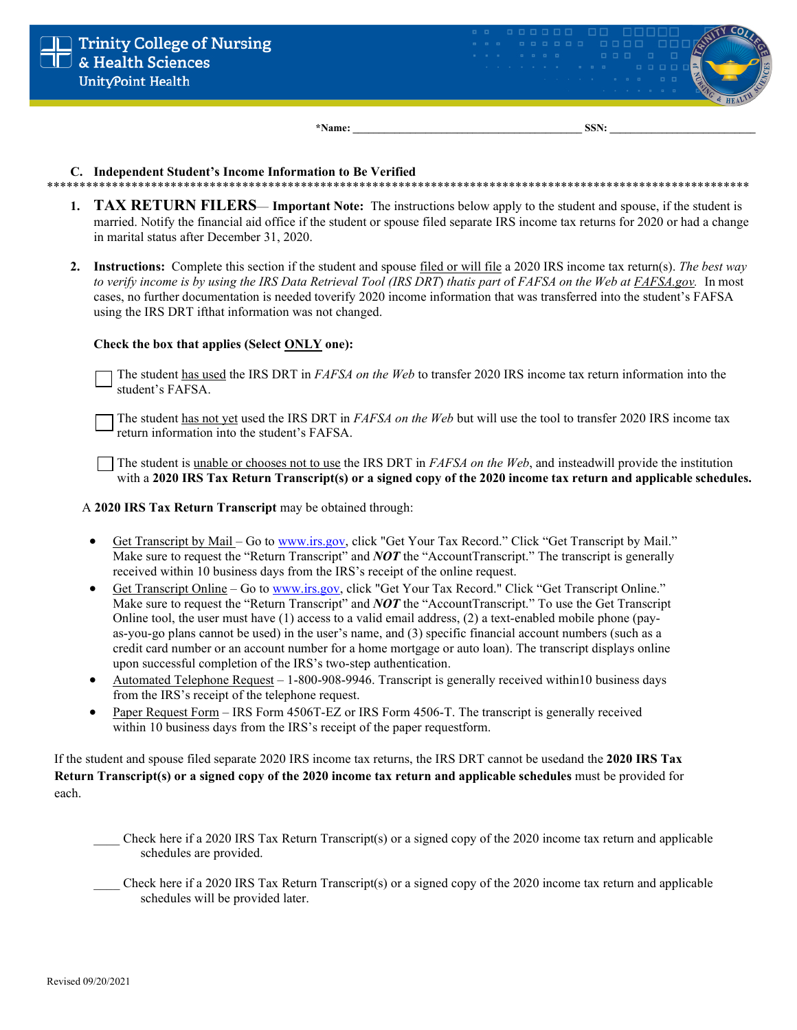

C. Independent Student's Income Information to Be Verified

\*\*\*\*\*\*\*\*\*\*\*\*\*\*\*\*\*\*\*\*\*\*\*\*\*\*\*\*\*\*\*\*\* \*\*\*\*\*\*\*\*\*\*\*\*\*\*\*\*\*\*\*\*\*\*\*\*\*\*\*\*\* \*\*\*\*\*\*\*\*\*

\*Name:

- **TAX RETURN FILERS— Important Note:** The instructions below apply to the student and spouse, if the student is  $\mathbf{1}$ . married. Notify the financial aid office if the student or spouse filed separate IRS income tax returns for 2020 or had a change in marital status after December 31, 2020.
- 2. Instructions: Complete this section if the student and spouse filed or will file a 2020 IRS income tax return(s). The best way to verify income is by using the IRS Data Retrieval Tool (IRS DRT) that is part of FAFSA on the Web at FAFSA.gov. In most cases, no further documentation is needed toverify 2020 income information that was transferred into the student's FAFSA using the IRS DRT if that information was not changed.

#### Check the box that applies (Select ONLY one):

The student has used the IRS DRT in *FAFSA on the Web* to transfer 2020 IRS income tax return information into the student's FAFSA.

The student has not yet used the IRS DRT in *FAFSA on the Web* but will use the tool to transfer 2020 IRS income tax return information into the student's FAFSA.

The student is unable or chooses not to use the IRS DRT in  $FAFSA$  on the Web, and insteadwill provide the institution with a 2020 IRS Tax Return Transcript(s) or a signed copy of the 2020 income tax return and applicable schedules.

A 2020 IRS Tax Return Transcript may be obtained through:

- Get Transcript by Mail Go to www.irs.gov, click "Get Your Tax Record." Click "Get Transcript by Mail."  $\bullet$ Make sure to request the "Return Transcript" and **NOT** the "AccountTranscript." The transcript is generally received within 10 business days from the IRS's receipt of the online request.
- Get Transcript Online Go to www.irs.gov, click "Get Your Tax Record." Click "Get Transcript Online." Make sure to request the "Return Transcript" and **NOT** the "AccountTranscript." To use the Get Transcript Online tool, the user must have  $(1)$  access to a valid email address,  $(2)$  a text-enabled mobile phone (payas-you-go plans cannot be used) in the user's name, and (3) specific financial account numbers (such as a credit card number or an account number for a home mortgage or auto loan). The transcript displays online upon successful completion of the IRS's two-step authentication.
- Automated Telephone Request 1-800-908-9946. Transcript is generally received within10 business days  $\bullet$ from the IRS's receipt of the telephone request.
- Paper Request Form IRS Form 4506T-EZ or IRS Form 4506-T. The transcript is generally received within 10 business days from the IRS's receipt of the paper requestform.

If the student and spouse filed separate 2020 IRS income tax returns, the IRS DRT cannot be usedand the 2020 IRS Tax Return Transcript(s) or a signed copy of the 2020 income tax return and applicable schedules must be provided for each.

- Check here if a 2020 IRS Tax Return Transcript(s) or a signed copy of the 2020 income tax return and applicable schedules are provided.
- Check here if a 2020 IRS Tax Return Transcript(s) or a signed copy of the 2020 income tax return and applicable schedules will be provided later.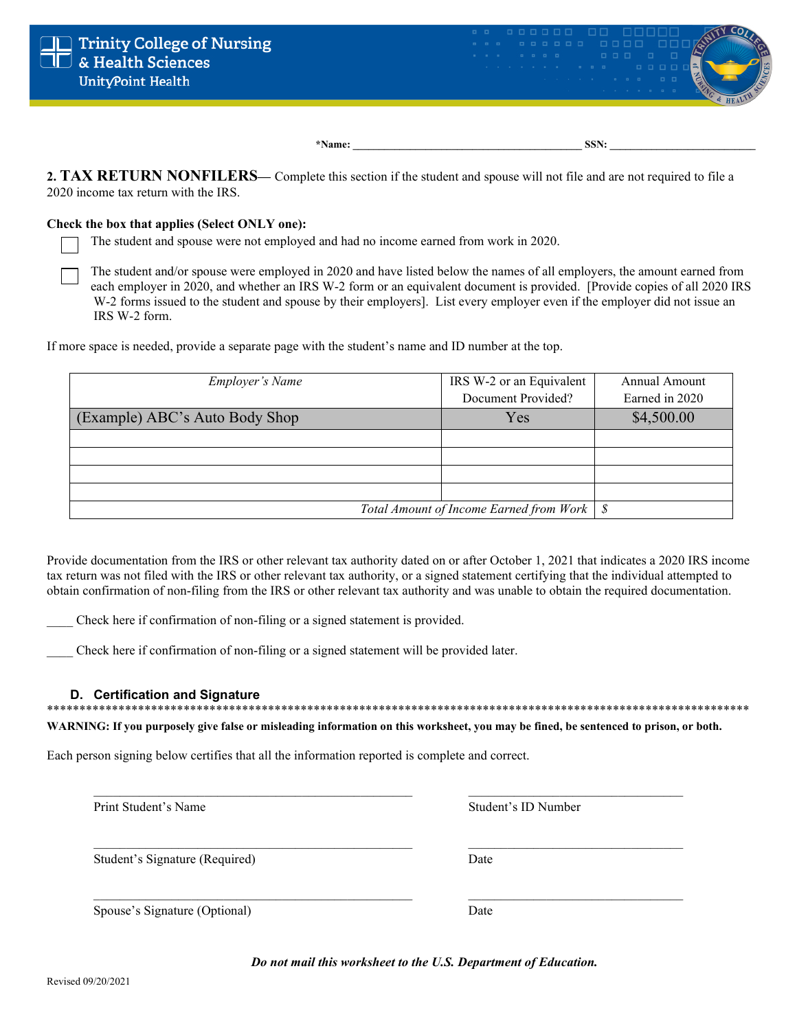

**2. TAX RETURN NONFILERS—** Complete this section if the student and spouse will not file and are not required to file a 2020 income tax return with the IRS.

### **Check the box that applies (Select ONLY one):**

The student and spouse were not employed and had no income earned from work in 2020.

The student and/or spouse were employed in 2020 and have listed below the names of all employers, the amount earned from each employer in 2020, and whether an IRS W-2 form or an equivalent document is provided. [Provide copies of all 2020 IRS W-2 forms issued to the student and spouse by their employers]. List every employer even if the employer did not issue an IRS W-2 form.

If more space is needed, provide a separate page with the student's name and ID number at the top.

| <b>Employer's Name</b>                       | IRS W-2 or an Equivalent | Annual Amount  |
|----------------------------------------------|--------------------------|----------------|
|                                              | Document Provided?       | Earned in 2020 |
| (Example) ABC's Auto Body Shop               | Yes                      | \$4,500.00     |
|                                              |                          |                |
|                                              |                          |                |
|                                              |                          |                |
|                                              |                          |                |
| Total Amount of Income Earned from Work   \$ |                          |                |

Provide documentation from the IRS or other relevant tax authority dated on or after October 1, 2021 that indicates a 2020 IRS income tax return was not filed with the IRS or other relevant tax authority, or a signed statement certifying that the individual attempted to obtain confirmation of non-filing from the IRS or other relevant tax authority and was unable to obtain the required documentation.

Check here if confirmation of non-filing or a signed statement is provided.

Check here if confirmation of non-filing or a signed statement will be provided later.

## **D. Certification and Signature**

\*\*\*\*\*\*\*\*\*\*\*\*\*\*\*\*\*\*\*\*\*\*\*\*\*\*\*\*\*\*\*\*\*\*\*\*\*\*\*\*\*\*\*\*\*\*\*\*\*\*\*\*\*\*\*\*\*\*\*\*\*\*\*\*\*\*\*\*\*\*\*\*\*\*\*\*\*\*\*\*\*\*\*\*\*\*\*\*\*\*\*\*\*\*\*\*\*\*\*\*\*\*\*\*\*\*\*\*

**WARNING: If you purposely give false or misleading information on this worksheet, you may be fined, be sentenced to prison, or both.**

 $\mathcal{L}_\mathcal{L} = \{ \mathcal{L}_\mathcal{L} = \{ \mathcal{L}_\mathcal{L} = \{ \mathcal{L}_\mathcal{L} = \{ \mathcal{L}_\mathcal{L} = \{ \mathcal{L}_\mathcal{L} = \{ \mathcal{L}_\mathcal{L} = \{ \mathcal{L}_\mathcal{L} = \{ \mathcal{L}_\mathcal{L} = \{ \mathcal{L}_\mathcal{L} = \{ \mathcal{L}_\mathcal{L} = \{ \mathcal{L}_\mathcal{L} = \{ \mathcal{L}_\mathcal{L} = \{ \mathcal{L}_\mathcal{L} = \{ \mathcal{L}_\mathcal{$ 

 $\mathcal{L}_\mathcal{L} = \{ \mathcal{L}_\mathcal{L} = \{ \mathcal{L}_\mathcal{L} = \{ \mathcal{L}_\mathcal{L} = \{ \mathcal{L}_\mathcal{L} = \{ \mathcal{L}_\mathcal{L} = \{ \mathcal{L}_\mathcal{L} = \{ \mathcal{L}_\mathcal{L} = \{ \mathcal{L}_\mathcal{L} = \{ \mathcal{L}_\mathcal{L} = \{ \mathcal{L}_\mathcal{L} = \{ \mathcal{L}_\mathcal{L} = \{ \mathcal{L}_\mathcal{L} = \{ \mathcal{L}_\mathcal{L} = \{ \mathcal{L}_\mathcal{$ 

\_\_\_\_\_\_\_\_\_\_\_\_\_\_\_\_\_\_\_\_\_\_\_\_\_\_\_\_\_\_\_\_\_\_\_\_\_\_\_\_\_\_\_\_\_\_\_\_\_ \_\_\_\_\_\_\_\_\_\_\_\_\_\_\_\_\_\_\_\_\_\_\_\_\_\_\_\_\_\_\_\_\_

Each person signing below certifies that all the information reported is complete and correct.

Print Student's Name Student's Name Student's ID Number

Student's Signature (Required) Date

Spouse's Signature (Optional) Date

*Do not mail this worksheet to the U.S. Department of Education.*